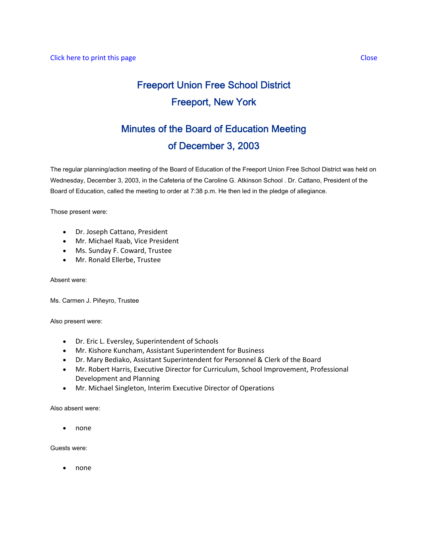# Freeport Union Free School District Freeport, New York

## Minutes of the Board of Education Meeting of December 3, 2003

The regular planning/action meeting of the Board of Education of the Freeport Union Free School District was held on Wednesday, December 3, 2003, in the Cafeteria of the Caroline G. Atkinson School . Dr. Cattano, President of the Board of Education, called the meeting to order at 7:38 p.m. He then led in the pledge of allegiance.

Those present were:

- Dr. Joseph Cattano, President
- Mr. Michael Raab, Vice President
- Ms. Sunday F. Coward, Trustee
- Mr. Ronald Ellerbe, Trustee

Absent were:

Ms. Carmen J. Piñeyro, Trustee

Also present were:

- Dr. Eric L. Eversley, Superintendent of Schools
- Mr. Kishore Kuncham, Assistant Superintendent for Business
- Dr. Mary Bediako, Assistant Superintendent for Personnel & Clerk of the Board
- Mr. Robert Harris, Executive Director for Curriculum, School Improvement, Professional Development and Planning
- Mr. Michael Singleton, Interim Executive Director of Operations

Also absent were:

• none

Guests were:

• none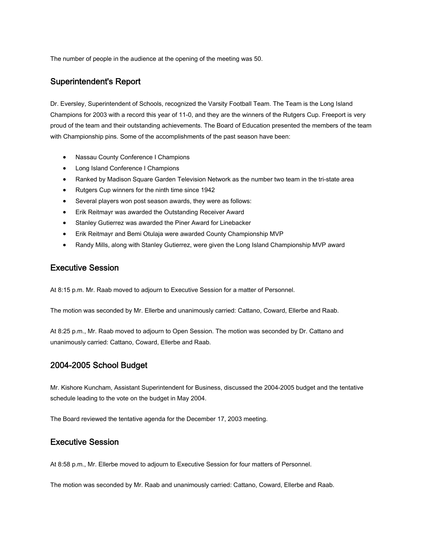The number of people in the audience at the opening of the meeting was 50.

#### Superintendent's Report

Dr. Eversley, Superintendent of Schools, recognized the Varsity Football Team. The Team is the Long Island Champions for 2003 with a record this year of 11-0, and they are the winners of the Rutgers Cup. Freeport is very proud of the team and their outstanding achievements. The Board of Education presented the members of the team with Championship pins. Some of the accomplishments of the past season have been:

- Nassau County Conference I Champions
- Long Island Conference I Champions
- Ranked by Madison Square Garden Television Network as the number two team in the tri-state area
- Rutgers Cup winners for the ninth time since 1942
- Several players won post season awards, they were as follows:
- Erik Reitmayr was awarded the Outstanding Receiver Award
- Stanley Gutierrez was awarded the Piner Award for Linebacker
- Erik Reitmayr and Bemi Otulaja were awarded County Championship MVP
- Randy Mills, along with Stanley Gutierrez, were given the Long Island Championship MVP award

#### Executive Session

At 8:15 p.m. Mr. Raab moved to adjourn to Executive Session for a matter of Personnel.

The motion was seconded by Mr. Ellerbe and unanimously carried: Cattano, Coward, Ellerbe and Raab.

At 8:25 p.m., Mr. Raab moved to adjourn to Open Session. The motion was seconded by Dr. Cattano and unanimously carried: Cattano, Coward, Ellerbe and Raab.

#### 2004-2005 School Budget

Mr. Kishore Kuncham, Assistant Superintendent for Business, discussed the 2004-2005 budget and the tentative schedule leading to the vote on the budget in May 2004.

The Board reviewed the tentative agenda for the December 17, 2003 meeting.

#### Executive Session

At 8:58 p.m., Mr. Ellerbe moved to adjourn to Executive Session for four matters of Personnel.

The motion was seconded by Mr. Raab and unanimously carried: Cattano, Coward, Ellerbe and Raab.